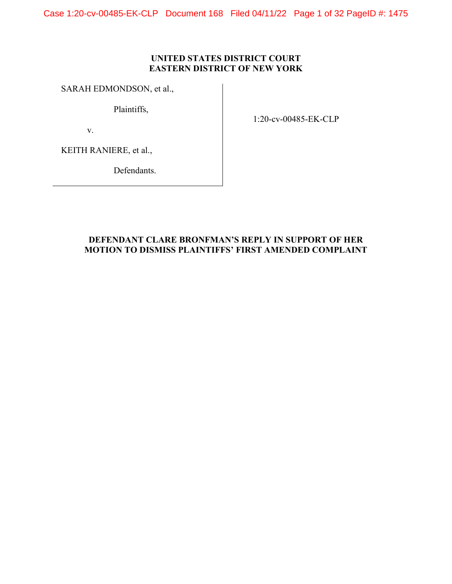Case 1:20-cv-00485-EK-CLP Document 168 Filed 04/11/22 Page 1 of 32 PageID #: 1475

## **UNITED STATES DISTRICT COURT EASTERN DISTRICT OF NEW YORK**

## SARAH EDMONDSON, et al.,

Plaintiffs,

v.

1:20-cv-00485-EK-CLP

KEITH RANIERE, et al.,

Defendants.

## **DEFENDANT CLARE BRONFMAN'S REPLY IN SUPPORT OF HER MOTION TO DISMISS PLAINTIFFS' FIRST AMENDED COMPLAINT**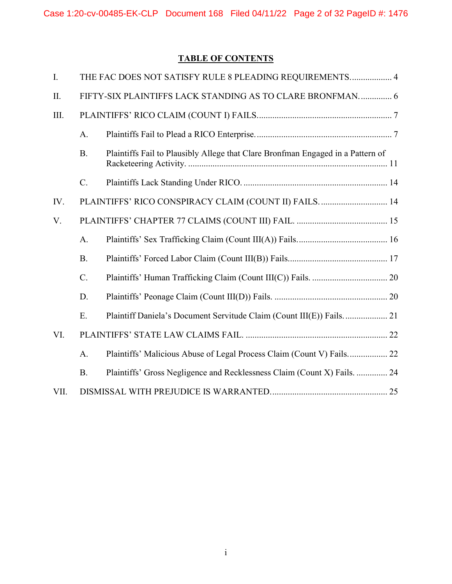# **TABLE OF CONTENTS**

| I.   |                                                           | THE FAC DOES NOT SATISFY RULE 8 PLEADING REQUIREMENTS 4                         |  |
|------|-----------------------------------------------------------|---------------------------------------------------------------------------------|--|
| II.  | FIFTY-SIX PLAINTIFFS LACK STANDING AS TO CLARE BRONFMAN 6 |                                                                                 |  |
| III. |                                                           |                                                                                 |  |
|      | A.                                                        |                                                                                 |  |
|      | <b>B.</b>                                                 | Plaintiffs Fail to Plausibly Allege that Clare Bronfman Engaged in a Pattern of |  |
|      | $C_{\cdot}$                                               |                                                                                 |  |
| IV.  |                                                           | PLAINTIFFS' RICO CONSPIRACY CLAIM (COUNT II) FAILS 14                           |  |
| V.   |                                                           |                                                                                 |  |
|      | A.                                                        |                                                                                 |  |
|      | <b>B.</b>                                                 |                                                                                 |  |
|      | C.                                                        |                                                                                 |  |
|      | D.                                                        |                                                                                 |  |
|      | E.                                                        |                                                                                 |  |
| VI.  |                                                           |                                                                                 |  |
|      | A.                                                        |                                                                                 |  |
|      | <b>B.</b>                                                 | Plaintiffs' Gross Negligence and Recklessness Claim (Count X) Fails.  24        |  |
| VII. |                                                           |                                                                                 |  |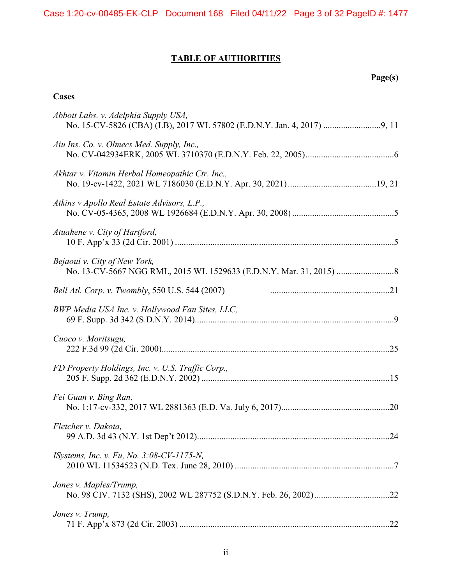## **TABLE OF AUTHORITIES**

## **Page(s)**

## **Cases**

| Abbott Labs. v. Adelphia Supply USA,              |
|---------------------------------------------------|
| Aiu Ins. Co. v. Olmecs Med. Supply, Inc.,         |
| Akhtar v. Vitamin Herbal Homeopathic Ctr. Inc.,   |
| Atkins v Apollo Real Estate Advisors, L.P.,       |
| Atuahene v. City of Hartford,                     |
| Bejaoui v. City of New York,                      |
| Bell Atl. Corp. v. Twombly, 550 U.S. 544 (2007)   |
| BWP Media USA Inc. v. Hollywood Fan Sites, LLC,   |
| Cuoco v. Moritsugu,                               |
| FD Property Holdings, Inc. v. U.S. Traffic Corp., |
| Fei Guan v. Bing Ran,                             |
| Fletcher v. Dakota,                               |
| <i>ISystems, Inc. v. Fu, No. 3:08-CV-1175-N,</i>  |
| Jones v. Maples/Trump,                            |
| Jones v. Trump,                                   |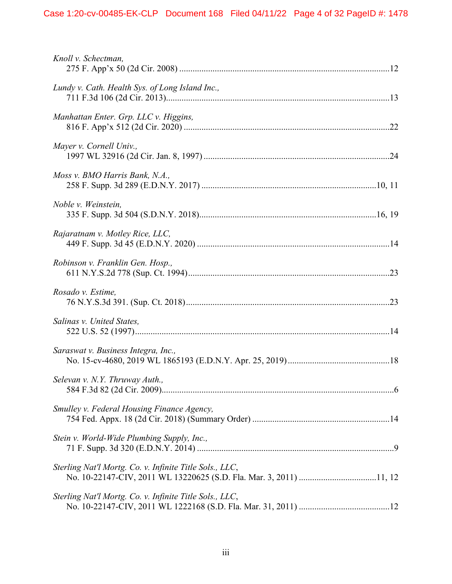| Knoll v. Schectman,                                     |
|---------------------------------------------------------|
| Lundy v. Cath. Health Sys. of Long Island Inc.,         |
| Manhattan Enter. Grp. LLC v. Higgins,                   |
| Mayer v. Cornell Univ.,                                 |
| Moss v. BMO Harris Bank, N.A.,                          |
| Noble v. Weinstein,                                     |
| Rajaratnam v. Motley Rice, LLC,                         |
| Robinson v. Franklin Gen. Hosp.,                        |
| Rosado v. Estime,                                       |
| Salinas v. United States,                               |
| Saraswat v. Business Integra, Inc.,                     |
| Selevan v. N.Y. Thruway Auth.,                          |
| Smulley v. Federal Housing Finance Agency,              |
| Stein v. World-Wide Plumbing Supply, Inc.,              |
| Sterling Nat'l Mortg. Co. v. Infinite Title Sols., LLC, |
| Sterling Nat'l Mortg. Co. v. Infinite Title Sols., LLC, |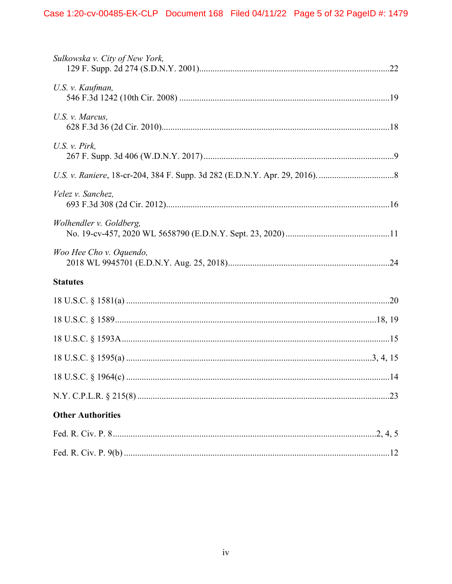| Sulkowska v. City of New York, |
|--------------------------------|
| U.S. v. Kaufman,               |
| U.S. v. Marcus,                |
| U.S. $v.$ Pirk,                |
|                                |
| Velez v. Sanchez,              |
| Wolhendler v. Goldberg,        |
| Woo Hee Cho v. Oquendo,        |
| <b>Statutes</b>                |
|                                |
|                                |
|                                |
|                                |
|                                |
|                                |
| <b>Other Authorities</b>       |
|                                |
|                                |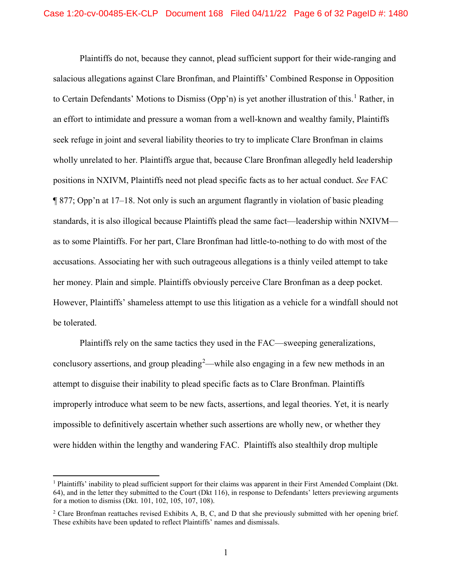Plaintiffs do not, because they cannot, plead sufficient support for their wide-ranging and salacious allegations against Clare Bronfman, and Plaintiffs' Combined Response in Opposition to Certain Defendants' Motions to Dismiss (Opp'n) is yet another illustration of this.<sup>[1](#page-5-0)</sup> Rather, in an effort to intimidate and pressure a woman from a well-known and wealthy family, Plaintiffs seek refuge in joint and several liability theories to try to implicate Clare Bronfman in claims wholly unrelated to her. Plaintiffs argue that, because Clare Bronfman allegedly held leadership positions in NXIVM, Plaintiffs need not plead specific facts as to her actual conduct. *See* FAC ¶ 877; Opp'n at 17–18. Not only is such an argument flagrantly in violation of basic pleading standards, it is also illogical because Plaintiffs plead the same fact—leadership within NXIVM as to some Plaintiffs. For her part, Clare Bronfman had little-to-nothing to do with most of the accusations. Associating her with such outrageous allegations is a thinly veiled attempt to take her money. Plain and simple. Plaintiffs obviously perceive Clare Bronfman as a deep pocket. However, Plaintiffs' shameless attempt to use this litigation as a vehicle for a windfall should not be tolerated.

Plaintiffs rely on the same tactics they used in the FAC—sweeping generalizations, conclusory assertions, and group pleading<sup>[2](#page-5-1)</sup>—while also engaging in a few new methods in an attempt to disguise their inability to plead specific facts as to Clare Bronfman. Plaintiffs improperly introduce what seem to be new facts, assertions, and legal theories. Yet, it is nearly impossible to definitively ascertain whether such assertions are wholly new, or whether they were hidden within the lengthy and wandering FAC. Plaintiffs also stealthily drop multiple

<span id="page-5-0"></span> <sup>1</sup> Plaintiffs' inability to plead sufficient support for their claims was apparent in their First Amended Complaint (Dkt. 64), and in the letter they submitted to the Court (Dkt 116), in response to Defendants' letters previewing arguments for a motion to dismiss (Dkt. 101, 102, 105, 107, 108).

<span id="page-5-1"></span><sup>&</sup>lt;sup>2</sup> Clare Bronfman reattaches revised Exhibits A, B, C, and D that she previously submitted with her opening brief. These exhibits have been updated to reflect Plaintiffs' names and dismissals.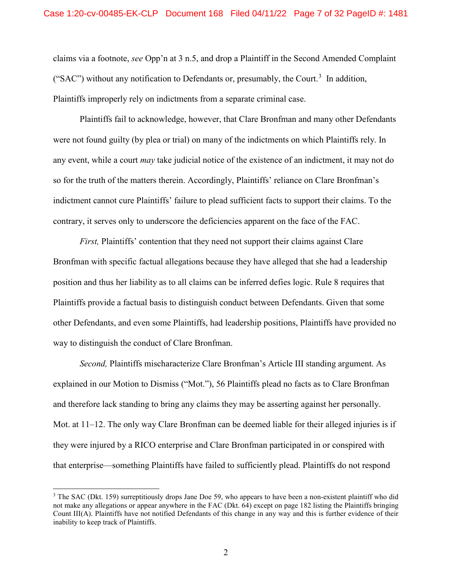claims via a footnote, *see* Opp'n at 3 n.5, and drop a Plaintiff in the Second Amended Complaint ("SAC") without any notification to Defendants or, presumably, the Court.<sup>[3](#page-6-1)</sup> In addition, Plaintiffs improperly rely on indictments from a separate criminal case.

Plaintiffs fail to acknowledge, however, that Clare Bronfman and many other Defendants were not found guilty (by plea or trial) on many of the indictments on which Plaintiffs rely. In any event, while a court *may* take judicial notice of the existence of an indictment, it may not do so for the truth of the matters therein. Accordingly, Plaintiffs' reliance on Clare Bronfman's indictment cannot cure Plaintiffs' failure to plead sufficient facts to support their claims. To the contrary, it serves only to underscore the deficiencies apparent on the face of the FAC.

<span id="page-6-0"></span>*First,* Plaintiffs' contention that they need not support their claims against Clare Bronfman with specific factual allegations because they have alleged that she had a leadership position and thus her liability as to all claims can be inferred defies logic. Rule 8 requires that Plaintiffs provide a factual basis to distinguish conduct between Defendants. Given that some other Defendants, and even some Plaintiffs, had leadership positions, Plaintiffs have provided no way to distinguish the conduct of Clare Bronfman.

*Second,* Plaintiffs mischaracterize Clare Bronfman's Article III standing argument. As explained in our Motion to Dismiss ("Mot."), 56 Plaintiffs plead no facts as to Clare Bronfman and therefore lack standing to bring any claims they may be asserting against her personally. Mot. at 11–12. The only way Clare Bronfman can be deemed liable for their alleged injuries is if they were injured by a RICO enterprise and Clare Bronfman participated in or conspired with that enterprise—something Plaintiffs have failed to sufficiently plead. Plaintiffs do not respond

<span id="page-6-1"></span> $3$  The SAC (Dkt. 159) surreptitiously drops Jane Doe 59, who appears to have been a non-existent plaintiff who did not make any allegations or appear anywhere in the FAC (Dkt. 64) except on page 182 listing the Plaintiffs bringing Count III(A). Plaintiffs have not notified Defendants of this change in any way and this is further evidence of their inability to keep track of Plaintiffs.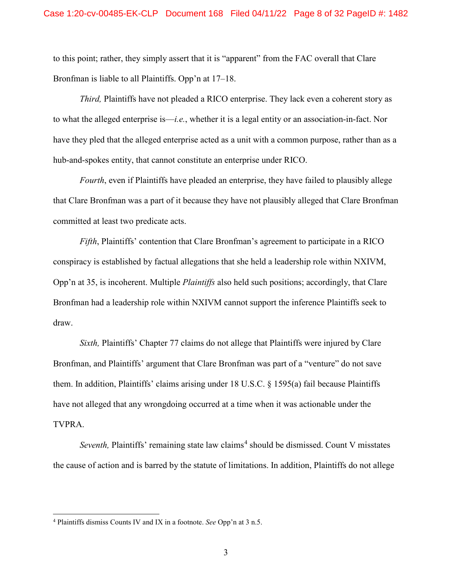to this point; rather, they simply assert that it is "apparent" from the FAC overall that Clare Bronfman is liable to all Plaintiffs. Opp'n at 17–18.

*Third,* Plaintiffs have not pleaded a RICO enterprise. They lack even a coherent story as to what the alleged enterprise is—*i.e.*, whether it is a legal entity or an association-in-fact. Nor have they pled that the alleged enterprise acted as a unit with a common purpose, rather than as a hub-and-spokes entity, that cannot constitute an enterprise under RICO.

*Fourth*, even if Plaintiffs have pleaded an enterprise, they have failed to plausibly allege that Clare Bronfman was a part of it because they have not plausibly alleged that Clare Bronfman committed at least two predicate acts.

*Fifth*, Plaintiffs' contention that Clare Bronfman's agreement to participate in a RICO conspiracy is established by factual allegations that she held a leadership role within NXIVM, Opp'n at 35, is incoherent. Multiple *Plaintiffs* also held such positions; accordingly, that Clare Bronfman had a leadership role within NXIVM cannot support the inference Plaintiffs seek to draw.

<span id="page-7-0"></span>*Sixth,* Plaintiffs' Chapter 77 claims do not allege that Plaintiffs were injured by Clare Bronfman, and Plaintiffs' argument that Clare Bronfman was part of a "venture" do not save them. In addition, Plaintiffs' claims arising under 18 U.S.C. § 1595(a) fail because Plaintiffs have not alleged that any wrongdoing occurred at a time when it was actionable under the TVPRA.

*Seventh*, Plaintiffs' remaining state law claims<sup>[4](#page-7-1)</sup> should be dismissed. Count V misstates the cause of action and is barred by the statute of limitations. In addition, Plaintiffs do not allege

<span id="page-7-1"></span> <sup>4</sup> Plaintiffs dismiss Counts IV and IX in a footnote. *See* Opp'n at 3 n.5.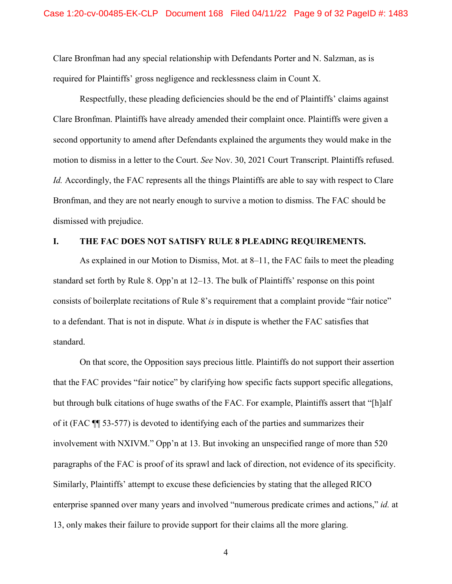Clare Bronfman had any special relationship with Defendants Porter and N. Salzman, as is required for Plaintiffs' gross negligence and recklessness claim in Count X.

Respectfully, these pleading deficiencies should be the end of Plaintiffs' claims against Clare Bronfman. Plaintiffs have already amended their complaint once. Plaintiffs were given a second opportunity to amend after Defendants explained the arguments they would make in the motion to dismiss in a letter to the Court. *See* Nov. 30, 2021 Court Transcript. Plaintiffs refused. *Id.* Accordingly, the FAC represents all the things Plaintiffs are able to say with respect to Clare Bronfman, and they are not nearly enough to survive a motion to dismiss. The FAC should be dismissed with prejudice.

### <span id="page-8-1"></span><span id="page-8-0"></span>**I. THE FAC DOES NOT SATISFY RULE 8 PLEADING REQUIREMENTS.**

As explained in our Motion to Dismiss, Mot. at 8–11, the FAC fails to meet the pleading standard set forth by Rule 8. Opp'n at 12–13. The bulk of Plaintiffs' response on this point consists of boilerplate recitations of Rule 8's requirement that a complaint provide "fair notice" to a defendant. That is not in dispute. What *is* in dispute is whether the FAC satisfies that standard.

On that score, the Opposition says precious little. Plaintiffs do not support their assertion that the FAC provides "fair notice" by clarifying how specific facts support specific allegations, but through bulk citations of huge swaths of the FAC. For example, Plaintiffs assert that "[h]alf of it (FAC ¶¶ 53-577) is devoted to identifying each of the parties and summarizes their involvement with NXIVM." Opp'n at 13. But invoking an unspecified range of more than 520 paragraphs of the FAC is proof of its sprawl and lack of direction, not evidence of its specificity. Similarly, Plaintiffs' attempt to excuse these deficiencies by stating that the alleged RICO enterprise spanned over many years and involved "numerous predicate crimes and actions," *id.* at 13, only makes their failure to provide support for their claims all the more glaring.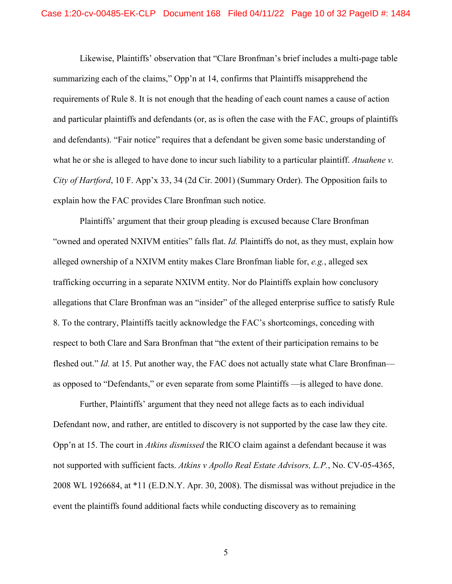<span id="page-9-2"></span>Likewise, Plaintiffs' observation that "Clare Bronfman's brief includes a multi-page table summarizing each of the claims," Opp'n at 14, confirms that Plaintiffs misapprehend the requirements of Rule 8. It is not enough that the heading of each count names a cause of action and particular plaintiffs and defendants (or, as is often the case with the FAC, groups of plaintiffs and defendants). "Fair notice" requires that a defendant be given some basic understanding of what he or she is alleged to have done to incur such liability to a particular plaintiff. *Atuahene v. City of Hartford*, 10 F. App'x 33, 34 (2d Cir. 2001) (Summary Order). The Opposition fails to explain how the FAC provides Clare Bronfman such notice.

<span id="page-9-1"></span>Plaintiffs' argument that their group pleading is excused because Clare Bronfman "owned and operated NXIVM entities" falls flat. *Id.* Plaintiffs do not, as they must, explain how alleged ownership of a NXIVM entity makes Clare Bronfman liable for, *e.g.*, alleged sex trafficking occurring in a separate NXIVM entity. Nor do Plaintiffs explain how conclusory allegations that Clare Bronfman was an "insider" of the alleged enterprise suffice to satisfy Rule 8. To the contrary, Plaintiffs tacitly acknowledge the FAC's shortcomings, conceding with respect to both Clare and Sara Bronfman that "the extent of their participation remains to be fleshed out." *Id.* at 15. Put another way, the FAC does not actually state what Clare Bronfman as opposed to "Defendants," or even separate from some Plaintiffs —is alleged to have done.

<span id="page-9-0"></span>Further, Plaintiffs' argument that they need not allege facts as to each individual Defendant now, and rather, are entitled to discovery is not supported by the case law they cite. Opp'n at 15. The court in *Atkins dismissed* the RICO claim against a defendant because it was not supported with sufficient facts. *Atkins v Apollo Real Estate Advisors, L.P.*, No. CV-05-4365, 2008 WL 1926684, at \*11 (E.D.N.Y. Apr. 30, 2008). The dismissal was without prejudice in the event the plaintiffs found additional facts while conducting discovery as to remaining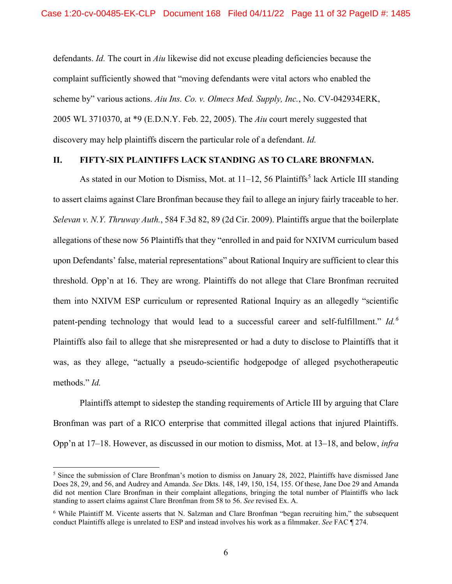<span id="page-10-0"></span>defendants. *Id.* The court in *Aiu* likewise did not excuse pleading deficiencies because the complaint sufficiently showed that "moving defendants were vital actors who enabled the scheme by" various actions. *Aiu Ins. Co. v. Olmecs Med. Supply, Inc.*, No. CV-042934ERK, 2005 WL 3710370, at \*9 (E.D.N.Y. Feb. 22, 2005). The *Aiu* court merely suggested that discovery may help plaintiffs discern the particular role of a defendant. *Id.*

## **II. FIFTY-SIX PLAINTIFFS LACK STANDING AS TO CLARE BRONFMAN.**

<span id="page-10-1"></span>As stated in our Motion to Dismiss, Mot. at  $11-12$ , [5](#page-10-2)6 Plaintiffs<sup>5</sup> lack Article III standing to assert claims against Clare Bronfman because they fail to allege an injury fairly traceable to her. *Selevan v. N.Y. Thruway Auth.*, 584 F.3d 82, 89 (2d Cir. 2009). Plaintiffs argue that the boilerplate allegations of these now 56 Plaintiffs that they "enrolled in and paid for NXIVM curriculum based upon Defendants' false, material representations" about Rational Inquiry are sufficient to clear this threshold. Opp'n at 16. They are wrong. Plaintiffs do not allege that Clare Bronfman recruited them into NXIVM ESP curriculum or represented Rational Inquiry as an allegedly "scientific patent-pending technology that would lead to a successful career and self-fulfillment." *Id.[6](#page-10-3)* Plaintiffs also fail to allege that she misrepresented or had a duty to disclose to Plaintiffs that it was, as they allege, "actually a pseudo-scientific hodgepodge of alleged psychotherapeutic methods." *Id.*

Plaintiffs attempt to sidestep the standing requirements of Article III by arguing that Clare Bronfman was part of a RICO enterprise that committed illegal actions that injured Plaintiffs. Opp'n at 17–18. However, as discussed in our motion to dismiss, Mot. at 13–18, and below, *infra*

<span id="page-10-2"></span><sup>&</sup>lt;sup>5</sup> Since the submission of Clare Bronfman's motion to dismiss on January 28, 2022, Plaintiffs have dismissed Jane Does 28, 29, and 56, and Audrey and Amanda. *See* Dkts. 148, 149, 150, 154, 155. Of these, Jane Doe 29 and Amanda did not mention Clare Bronfman in their complaint allegations, bringing the total number of Plaintiffs who lack standing to assert claims against Clare Bronfman from 58 to 56. *See* revised Ex. A.

<span id="page-10-3"></span><sup>6</sup> While Plaintiff M. Vicente asserts that N. Salzman and Clare Bronfman "began recruiting him," the subsequent conduct Plaintiffs allege is unrelated to ESP and instead involves his work as a filmmaker. *See* FAC ¶ 274.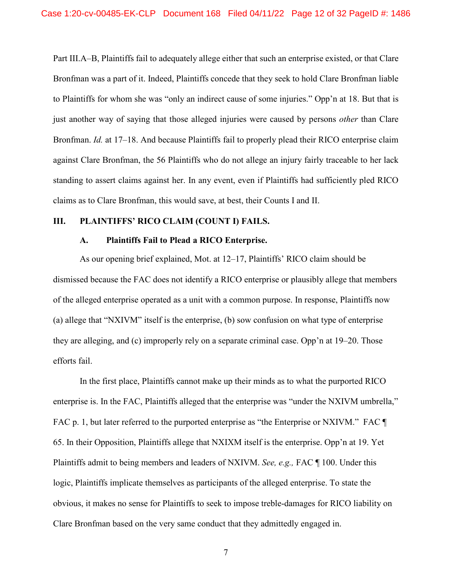Part III.A–B, Plaintiffs fail to adequately allege either that such an enterprise existed, or that Clare Bronfman was a part of it. Indeed, Plaintiffs concede that they seek to hold Clare Bronfman liable to Plaintiffs for whom she was "only an indirect cause of some injuries." Opp'n at 18. But that is just another way of saying that those alleged injuries were caused by persons *other* than Clare Bronfman. *Id.* at 17–18. And because Plaintiffs fail to properly plead their RICO enterprise claim against Clare Bronfman, the 56 Plaintiffs who do not allege an injury fairly traceable to her lack standing to assert claims against her. In any event, even if Plaintiffs had sufficiently pled RICO claims as to Clare Bronfman, this would save, at best, their Counts I and II.

#### **III. PLAINTIFFS' RICO CLAIM (COUNT I) FAILS.**

#### **A. Plaintiffs Fail to Plead a RICO Enterprise.**

As our opening brief explained, Mot. at 12–17, Plaintiffs' RICO claim should be dismissed because the FAC does not identify a RICO enterprise or plausibly allege that members of the alleged enterprise operated as a unit with a common purpose. In response, Plaintiffs now (a) allege that "NXIVM" itself is the enterprise, (b) sow confusion on what type of enterprise they are alleging, and (c) improperly rely on a separate criminal case. Opp'n at 19–20. Those efforts fail.

In the first place, Plaintiffs cannot make up their minds as to what the purported RICO enterprise is. In the FAC, Plaintiffs alleged that the enterprise was "under the NXIVM umbrella," FAC p. 1, but later referred to the purported enterprise as "the Enterprise or NXIVM." FAC ¶ 65. In their Opposition, Plaintiffs allege that NXIXM itself is the enterprise. Opp'n at 19. Yet Plaintiffs admit to being members and leaders of NXIVM. *See, e.g.,* FAC ¶ 100. Under this logic, Plaintiffs implicate themselves as participants of the alleged enterprise. To state the obvious, it makes no sense for Plaintiffs to seek to impose treble-damages for RICO liability on Clare Bronfman based on the very same conduct that they admittedly engaged in.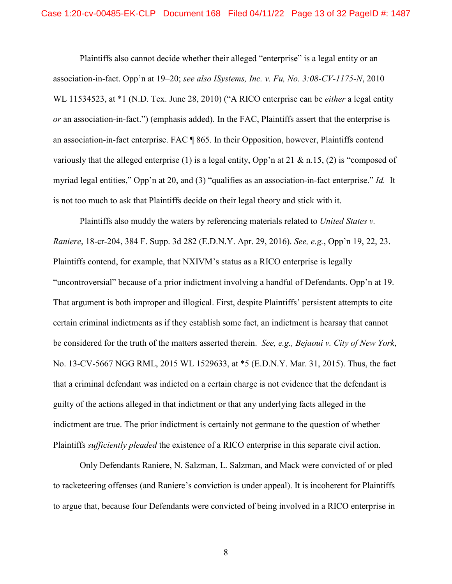<span id="page-12-1"></span>Plaintiffs also cannot decide whether their alleged "enterprise" is a legal entity or an association-in-fact. Opp'n at 19–20; *see also ISystems, Inc. v. Fu, No. 3:08-CV-1175-N*, 2010 WL 11534523, at \*1 (N.D. Tex. June 28, 2010) ("A RICO enterprise can be *either* a legal entity *or* an association-in-fact.") (emphasis added). In the FAC, Plaintiffs assert that the enterprise is an association-in-fact enterprise. FAC ¶ 865. In their Opposition, however, Plaintiffs contend variously that the alleged enterprise (1) is a legal entity, Opp'n at 21  $\&$  n.15, (2) is "composed of myriad legal entities," Opp'n at 20, and (3) "qualifies as an association-in-fact enterprise." *Id.* It is not too much to ask that Plaintiffs decide on their legal theory and stick with it.

<span id="page-12-2"></span><span id="page-12-0"></span>Plaintiffs also muddy the waters by referencing materials related to *United States v. Raniere*, 18-cr-204, 384 F. Supp. 3d 282 (E.D.N.Y. Apr. 29, 2016). *See, e.g.*, Opp'n 19, 22, 23. Plaintiffs contend, for example, that NXIVM's status as a RICO enterprise is legally "uncontroversial" because of a prior indictment involving a handful of Defendants. Opp'n at 19. That argument is both improper and illogical. First, despite Plaintiffs' persistent attempts to cite certain criminal indictments as if they establish some fact, an indictment is hearsay that cannot be considered for the truth of the matters asserted therein. *See, e.g., Bejaoui v. City of New York*, No. 13-CV-5667 NGG RML, 2015 WL 1529633, at \*5 (E.D.N.Y. Mar. 31, 2015). Thus, the fact that a criminal defendant was indicted on a certain charge is not evidence that the defendant is guilty of the actions alleged in that indictment or that any underlying facts alleged in the indictment are true. The prior indictment is certainly not germane to the question of whether Plaintiffs *sufficiently pleaded* the existence of a RICO enterprise in this separate civil action.

Only Defendants Raniere, N. Salzman, L. Salzman, and Mack were convicted of or pled to racketeering offenses (and Raniere's conviction is under appeal). It is incoherent for Plaintiffs to argue that, because four Defendants were convicted of being involved in a RICO enterprise in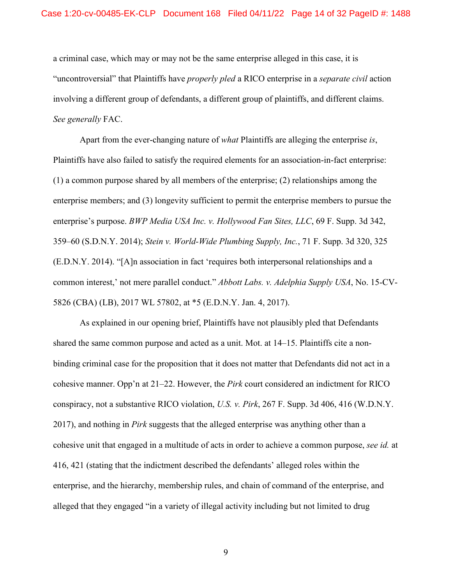a criminal case, which may or may not be the same enterprise alleged in this case, it is "uncontroversial" that Plaintiffs have *properly pled* a RICO enterprise in a *separate civil* action involving a different group of defendants, a different group of plaintiffs, and different claims. *See generally* FAC.

<span id="page-13-1"></span>Apart from the ever-changing nature of *what* Plaintiffs are alleging the enterprise *is*, Plaintiffs have also failed to satisfy the required elements for an association-in-fact enterprise: (1) a common purpose shared by all members of the enterprise; (2) relationships among the enterprise members; and (3) longevity sufficient to permit the enterprise members to pursue the enterprise's purpose. *BWP Media USA Inc. v. Hollywood Fan Sites, LLC*, 69 F. Supp. 3d 342, 359–60 (S.D.N.Y. 2014); *Stein v. World-Wide Plumbing Supply, Inc.*, 71 F. Supp. 3d 320, 325 (E.D.N.Y. 2014). "[A]n association in fact 'requires both interpersonal relationships and a common interest,' not mere parallel conduct." *Abbott Labs. v. Adelphia Supply USA*, No. 15-CV-5826 (CBA) (LB), 2017 WL 57802, at \*5 (E.D.N.Y. Jan. 4, 2017).

<span id="page-13-3"></span><span id="page-13-2"></span><span id="page-13-0"></span>As explained in our opening brief, Plaintiffs have not plausibly pled that Defendants shared the same common purpose and acted as a unit. Mot. at 14–15. Plaintiffs cite a nonbinding criminal case for the proposition that it does not matter that Defendants did not act in a cohesive manner. Opp'n at 21–22. However, the *Pirk* court considered an indictment for RICO conspiracy, not a substantive RICO violation, *U.S. v. Pirk*, 267 F. Supp. 3d 406, 416 (W.D.N.Y. 2017), and nothing in *Pirk* suggests that the alleged enterprise was anything other than a cohesive unit that engaged in a multitude of acts in order to achieve a common purpose, *see id.* at 416, 421 (stating that the indictment described the defendants' alleged roles within the enterprise, and the hierarchy, membership rules, and chain of command of the enterprise, and alleged that they engaged "in a variety of illegal activity including but not limited to drug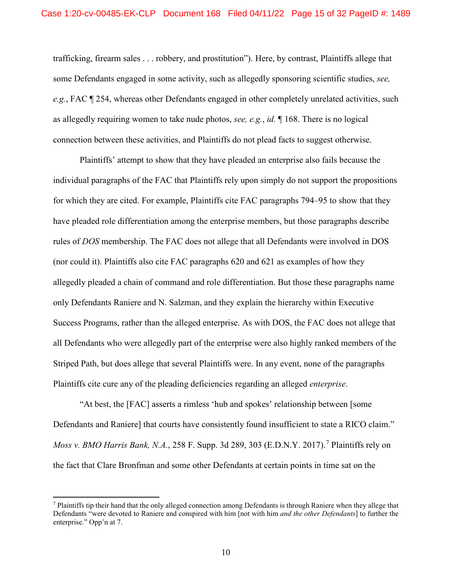trafficking, firearm sales . . . robbery, and prostitution"). Here, by contrast, Plaintiffs allege that some Defendants engaged in some activity, such as allegedly sponsoring scientific studies, *see, e.g.*, FAC ¶ 254, whereas other Defendants engaged in other completely unrelated activities, such as allegedly requiring women to take nude photos, *see, e.g.*, *id.* ¶ 168. There is no logical connection between these activities, and Plaintiffs do not plead facts to suggest otherwise.

Plaintiffs' attempt to show that they have pleaded an enterprise also fails because the individual paragraphs of the FAC that Plaintiffs rely upon simply do not support the propositions for which they are cited. For example, Plaintiffs cite FAC paragraphs 794–95 to show that they have pleaded role differentiation among the enterprise members, but those paragraphs describe rules of *DOS* membership. The FAC does not allege that all Defendants were involved in DOS (nor could it). Plaintiffs also cite FAC paragraphs 620 and 621 as examples of how they allegedly pleaded a chain of command and role differentiation. But those these paragraphs name only Defendants Raniere and N. Salzman, and they explain the hierarchy within Executive Success Programs, rather than the alleged enterprise. As with DOS, the FAC does not allege that all Defendants who were allegedly part of the enterprise were also highly ranked members of the Striped Path, but does allege that several Plaintiffs were. In any event, none of the paragraphs Plaintiffs cite cure any of the pleading deficiencies regarding an alleged *enterprise*.

<span id="page-14-0"></span>"At best, the [FAC] asserts a rimless 'hub and spokes' relationship between [some Defendants and Raniere] that courts have consistently found insufficient to state a RICO claim." *Moss v. BMO Harris Bank, N.A.*, 258 F. Supp. 3d 289, 303 (E.D.N.Y. 201[7](#page-14-1)).<sup>7</sup> Plaintiffs rely on the fact that Clare Bronfman and some other Defendants at certain points in time sat on the

<span id="page-14-1"></span> $7$  Plaintiffs tip their hand that the only alleged connection among Defendants is through Raniere when they allege that Defendants "were devoted to Raniere and conspired with him [not with him *and the other Defendants*] to further the enterprise." Opp'n at 7.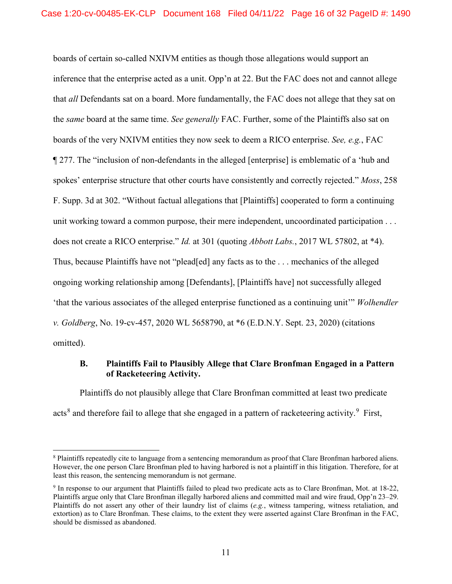<span id="page-15-1"></span>boards of certain so-called NXIVM entities as though those allegations would support an inference that the enterprise acted as a unit. Opp'n at 22. But the FAC does not and cannot allege that *all* Defendants sat on a board. More fundamentally, the FAC does not allege that they sat on the *same* board at the same time. *See generally* FAC. Further, some of the Plaintiffs also sat on boards of the very NXIVM entities they now seek to deem a RICO enterprise. *See, e.g.*, FAC ¶ 277. The "inclusion of non-defendants in the alleged [enterprise] is emblematic of a 'hub and spokes' enterprise structure that other courts have consistently and correctly rejected." *Moss*, 258 F. Supp. 3d at 302. "Without factual allegations that [Plaintiffs] cooperated to form a continuing unit working toward a common purpose, their mere independent, uncoordinated participation . . . does not create a RICO enterprise." *Id.* at 301 (quoting *Abbott Labs.*, 2017 WL 57802, at \*4). Thus, because Plaintiffs have not "plead[ed] any facts as to the . . . mechanics of the alleged ongoing working relationship among [Defendants], [Plaintiffs have] not successfully alleged 'that the various associates of the alleged enterprise functioned as a continuing unit'" *Wolhendler v. Goldberg*, No. 19-cv-457, 2020 WL 5658790, at \*6 (E.D.N.Y. Sept. 23, 2020) (citations omitted).

## <span id="page-15-2"></span><span id="page-15-0"></span>**B. Plaintiffs Fail to Plausibly Allege that Clare Bronfman Engaged in a Pattern of Racketeering Activity.**

Plaintiffs do not plausibly allege that Clare Bronfman committed at least two predicate acts<sup>[8](#page-15-3)</sup> and therefore fail to allege that she engaged in a pattern of racketeering activity.<sup>[9](#page-15-4)</sup> First,

<span id="page-15-3"></span><sup>&</sup>lt;sup>8</sup> Plaintiffs repeatedly cite to language from a sentencing memorandum as proof that Clare Bronfman harbored aliens. However, the one person Clare Bronfman pled to having harbored is not a plaintiff in this litigation. Therefore, for at least this reason, the sentencing memorandum is not germane.

<span id="page-15-4"></span><sup>9</sup> In response to our argument that Plaintiffs failed to plead two predicate acts as to Clare Bronfman, Mot. at 18-22, Plaintiffs argue only that Clare Bronfman illegally harbored aliens and committed mail and wire fraud, Opp'n 23–29. Plaintiffs do not assert any other of their laundry list of claims (*e.g.*, witness tampering, witness retaliation, and extortion) as to Clare Bronfman. These claims, to the extent they were asserted against Clare Bronfman in the FAC, should be dismissed as abandoned.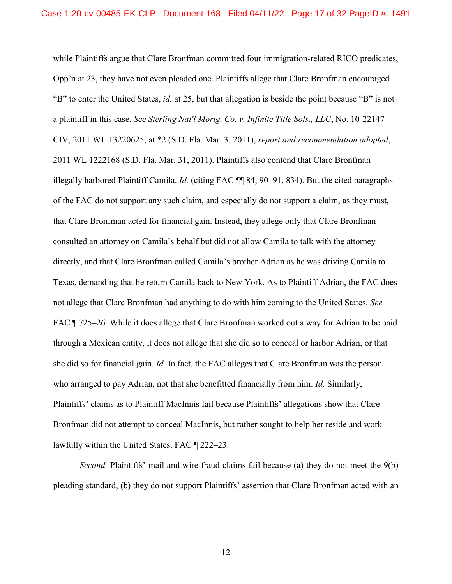<span id="page-16-2"></span><span id="page-16-1"></span><span id="page-16-0"></span>while Plaintiffs argue that Clare Bronfman committed four immigration-related RICO predicates, Opp'n at 23, they have not even pleaded one. Plaintiffs allege that Clare Bronfman encouraged "B" to enter the United States, *id.* at 25, but that allegation is beside the point because "B" is not a plaintiff in this case. *See Sterling Nat'l Mortg. Co. v. Infinite Title Sols., LLC*, No. 10-22147- CIV, 2011 WL 13220625, at \*2 (S.D. Fla. Mar. 3, 2011), *report and recommendation adopted*, 2011 WL 1222168 (S.D. Fla. Mar. 31, 2011). Plaintiffs also contend that Clare Bronfman illegally harbored Plaintiff Camila. *Id.* (citing FAC ¶¶ 84, 90–91, 834). But the cited paragraphs of the FAC do not support any such claim, and especially do not support a claim, as they must, that Clare Bronfman acted for financial gain. Instead, they allege only that Clare Bronfman consulted an attorney on Camila's behalf but did not allow Camila to talk with the attorney directly, and that Clare Bronfman called Camila's brother Adrian as he was driving Camila to Texas, demanding that he return Camila back to New York. As to Plaintiff Adrian, the FAC does not allege that Clare Bronfman had anything to do with him coming to the United States. *See*  FAC  $\P$  725–26. While it does allege that Clare Bronfman worked out a way for Adrian to be paid through a Mexican entity, it does not allege that she did so to conceal or harbor Adrian, or that she did so for financial gain. *Id.* In fact, the FAC alleges that Clare Bronfman was the person who arranged to pay Adrian, not that she benefitted financially from him. *Id.* Similarly, Plaintiffs' claims as to Plaintiff MacInnis fail because Plaintiffs' allegations show that Clare Bronfman did not attempt to conceal MacInnis, but rather sought to help her reside and work lawfully within the United States. FAC ¶ 222–23.

*Second,* Plaintiffs' mail and wire fraud claims fail because (a) they do not meet the 9(b) pleading standard, (b) they do not support Plaintiffs' assertion that Clare Bronfman acted with an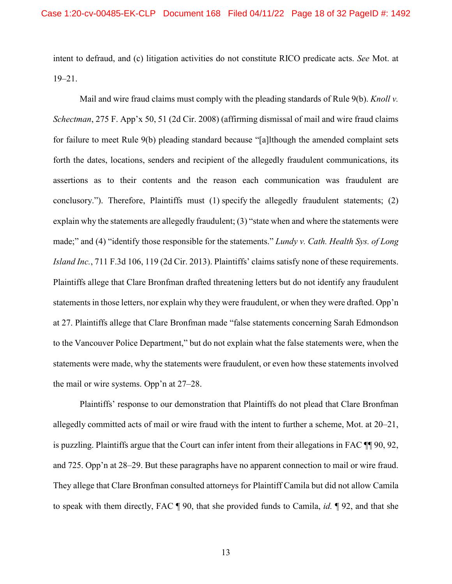intent to defraud, and (c) litigation activities do not constitute RICO predicate acts. *See* Mot. at 19–21.

<span id="page-17-2"></span><span id="page-17-1"></span><span id="page-17-0"></span>Mail and wire fraud claims must comply with the pleading standards of Rule 9(b). *Knoll v. Schectman*, 275 F. App'x 50, 51 (2d Cir. 2008) (affirming dismissal of mail and wire fraud claims for failure to meet Rule 9(b) pleading standard because "[a]lthough the amended complaint sets forth the dates, locations, senders and recipient of the allegedly fraudulent communications, its assertions as to their contents and the reason each communication was fraudulent are conclusory."). Therefore, Plaintiffs must (1) specify the allegedly fraudulent statements; (2) explain why the statements are allegedly fraudulent; (3) "state when and where the statements were made;" and (4) "identify those responsible for the statements." *Lundy v. Cath. Health Sys. of Long Island Inc.*, 711 F.3d 106, 119 (2d Cir. 2013). Plaintiffs' claims satisfy none of these requirements. Plaintiffs allege that Clare Bronfman drafted threatening letters but do not identify any fraudulent statements in those letters, nor explain why they were fraudulent, or when they were drafted. Opp'n at 27. Plaintiffs allege that Clare Bronfman made "false statements concerning Sarah Edmondson to the Vancouver Police Department," but do not explain what the false statements were, when the statements were made, why the statements were fraudulent, or even how these statements involved the mail or wire systems. Opp'n at 27–28.

Plaintiffs' response to our demonstration that Plaintiffs do not plead that Clare Bronfman allegedly committed acts of mail or wire fraud with the intent to further a scheme, Mot. at 20–21, is puzzling. Plaintiffs argue that the Court can infer intent from their allegations in FAC ¶¶ 90, 92, and 725. Opp'n at 28–29. But these paragraphs have no apparent connection to mail or wire fraud. They allege that Clare Bronfman consulted attorneys for Plaintiff Camila but did not allow Camila to speak with them directly, FAC ¶ 90, that she provided funds to Camila, *id.* ¶ 92, and that she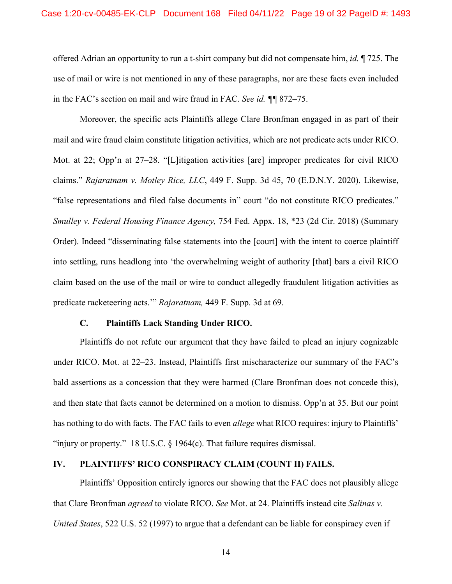offered Adrian an opportunity to run a t-shirt company but did not compensate him, *id.* ¶ 725. The use of mail or wire is not mentioned in any of these paragraphs, nor are these facts even included in the FAC's section on mail and wire fraud in FAC. *See id. ¶¶* 872–75.

<span id="page-18-2"></span><span id="page-18-0"></span>Moreover, the specific acts Plaintiffs allege Clare Bronfman engaged in as part of their mail and wire fraud claim constitute litigation activities, which are not predicate acts under RICO. Mot. at 22; Opp'n at 27–28. "[L]itigation activities [are] improper predicates for civil RICO claims." *Rajaratnam v. Motley Rice, LLC*, 449 F. Supp. 3d 45, 70 (E.D.N.Y. 2020). Likewise, "false representations and filed false documents in" court "do not constitute RICO predicates." *Smulley v. Federal Housing Finance Agency,* 754 Fed. Appx. 18, \*23 (2d Cir. 2018) (Summary Order). Indeed "disseminating false statements into the [court] with the intent to coerce plaintiff into settling, runs headlong into 'the overwhelming weight of authority [that] bars a civil RICO claim based on the use of the mail or wire to conduct allegedly fraudulent litigation activities as predicate racketeering acts.'" *Rajaratnam,* 449 F. Supp. 3d at 69.

#### **C. Plaintiffs Lack Standing Under RICO.**

Plaintiffs do not refute our argument that they have failed to plead an injury cognizable under RICO. Mot. at 22–23. Instead, Plaintiffs first mischaracterize our summary of the FAC's bald assertions as a concession that they were harmed (Clare Bronfman does not concede this), and then state that facts cannot be determined on a motion to dismiss. Opp'n at 35. But our point has nothing to do with facts. The FAC fails to even *allege* what RICO requires: injury to Plaintiffs' "injury or property." 18 U.S.C. § 1964(c). That failure requires dismissal.

## <span id="page-18-3"></span>**IV. PLAINTIFFS' RICO CONSPIRACY CLAIM (COUNT II) FAILS.**

<span id="page-18-1"></span>Plaintiffs' Opposition entirely ignores our showing that the FAC does not plausibly allege that Clare Bronfman *agreed* to violate RICO. *See* Mot. at 24. Plaintiffs instead cite *Salinas v. United States*, 522 U.S. 52 (1997) to argue that a defendant can be liable for conspiracy even if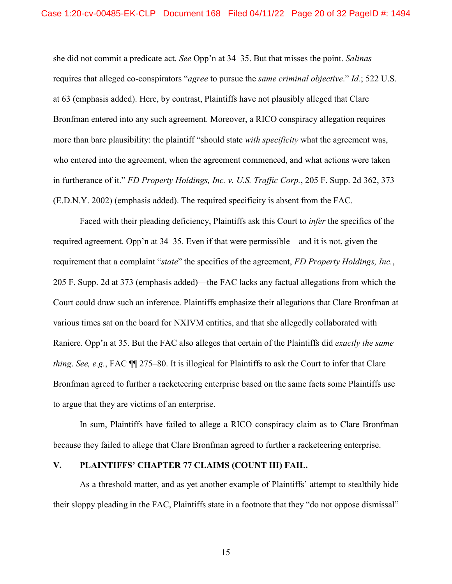she did not commit a predicate act. *See* Opp'n at 34–35. But that misses the point. *Salinas*  requires that alleged co-conspirators "*agree* to pursue the *same criminal objective*." *Id.*; 522 U.S. at 63 (emphasis added). Here, by contrast, Plaintiffs have not plausibly alleged that Clare Bronfman entered into any such agreement. Moreover, a RICO conspiracy allegation requires more than bare plausibility: the plaintiff "should state *with specificity* what the agreement was, who entered into the agreement, when the agreement commenced, and what actions were taken in furtherance of it." *FD Property Holdings, Inc. v. U.S. Traffic Corp.*, 205 F. Supp. 2d 362, 373 (E.D.N.Y. 2002) (emphasis added). The required specificity is absent from the FAC.

<span id="page-19-0"></span>Faced with their pleading deficiency, Plaintiffs ask this Court to *infer* the specifics of the required agreement. Opp'n at 34–35. Even if that were permissible—and it is not, given the requirement that a complaint "*state*" the specifics of the agreement, *FD Property Holdings, Inc.*, 205 F. Supp. 2d at 373 (emphasis added)—the FAC lacks any factual allegations from which the Court could draw such an inference. Plaintiffs emphasize their allegations that Clare Bronfman at various times sat on the board for NXIVM entities, and that she allegedly collaborated with Raniere. Opp'n at 35. But the FAC also alleges that certain of the Plaintiffs did *exactly the same thing*. *See, e.g.*, FAC ¶¶ 275–80. It is illogical for Plaintiffs to ask the Court to infer that Clare Bronfman agreed to further a racketeering enterprise based on the same facts some Plaintiffs use to argue that they are victims of an enterprise.

In sum, Plaintiffs have failed to allege a RICO conspiracy claim as to Clare Bronfman because they failed to allege that Clare Bronfman agreed to further a racketeering enterprise.

#### **V. PLAINTIFFS' CHAPTER 77 CLAIMS (COUNT III) FAIL.**

As a threshold matter, and as yet another example of Plaintiffs' attempt to stealthily hide their sloppy pleading in the FAC, Plaintiffs state in a footnote that they "do not oppose dismissal"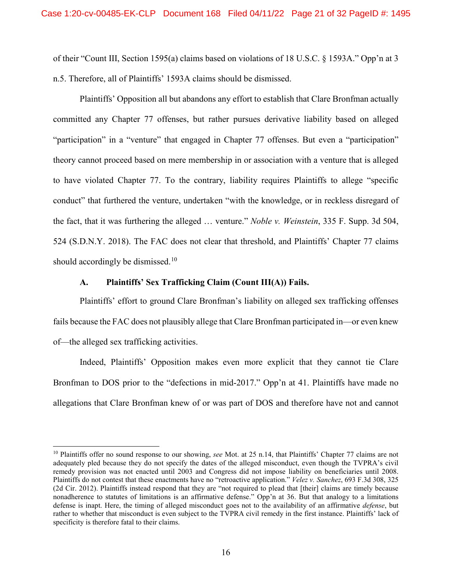<span id="page-20-3"></span><span id="page-20-2"></span>of their "Count III, Section 1595(a) claims based on violations of 18 U.S.C. § 1593A." Opp'n at 3 n.5. Therefore, all of Plaintiffs' 1593A claims should be dismissed.

Plaintiffs' Opposition all but abandons any effort to establish that Clare Bronfman actually committed any Chapter 77 offenses, but rather pursues derivative liability based on alleged "participation" in a "venture" that engaged in Chapter 77 offenses. But even a "participation" theory cannot proceed based on mere membership in or association with a venture that is alleged to have violated Chapter 77. To the contrary, liability requires Plaintiffs to allege "specific conduct" that furthered the venture, undertaken "with the knowledge, or in reckless disregard of the fact, that it was furthering the alleged … venture." *Noble v. Weinstein*, 335 F. Supp. 3d 504, 524 (S.D.N.Y. 2018). The FAC does not clear that threshold, and Plaintiffs' Chapter 77 claims should accordingly be dismissed.<sup>[10](#page-20-4)</sup>

### <span id="page-20-0"></span>**A. Plaintiffs' Sex Trafficking Claim (Count III(A)) Fails.**

Plaintiffs' effort to ground Clare Bronfman's liability on alleged sex trafficking offenses fails because the FAC does not plausibly allege that Clare Bronfman participated in—or even knew of—the alleged sex trafficking activities.

Indeed, Plaintiffs' Opposition makes even more explicit that they cannot tie Clare Bronfman to DOS prior to the "defections in mid-2017." Opp'n at 41. Plaintiffs have made no allegations that Clare Bronfman knew of or was part of DOS and therefore have not and cannot

<span id="page-20-4"></span><span id="page-20-1"></span> <sup>10</sup> Plaintiffs offer no sound response to our showing, *see* Mot. at 25 n.14, that Plaintiffs' Chapter 77 claims are not adequately pled because they do not specify the dates of the alleged misconduct, even though the TVPRA's civil remedy provision was not enacted until 2003 and Congress did not impose liability on beneficiaries until 2008. Plaintiffs do not contest that these enactments have no "retroactive application." *Velez v. Sanchez*, 693 F.3d 308, 325 (2d Cir. 2012). Plaintiffs instead respond that they are "not required to plead that [their] claims are timely because nonadherence to statutes of limitations is an affirmative defense." Opp'n at 36. But that analogy to a limitations defense is inapt. Here, the timing of alleged misconduct goes not to the availability of an affirmative *defense*, but rather to whether that misconduct is even subject to the TVPRA civil remedy in the first instance. Plaintiffs' lack of specificity is therefore fatal to their claims.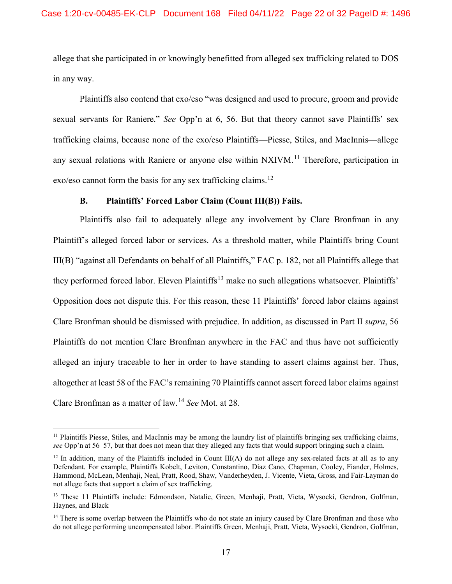allege that she participated in or knowingly benefitted from alleged sex trafficking related to DOS in any way.

Plaintiffs also contend that exo/eso "was designed and used to procure, groom and provide sexual servants for Raniere." *See* Opp'n at 6, 56. But that theory cannot save Plaintiffs' sex trafficking claims, because none of the exo/eso Plaintiffs—Piesse, Stiles, and MacInnis—allege any sexual relations with Raniere or anyone else within NXIVM.<sup>[11](#page-21-0)</sup> Therefore, participation in exo/eso cannot form the basis for any sex trafficking claims.<sup>[12](#page-21-1)</sup>

### **B. Plaintiffs' Forced Labor Claim (Count III(B)) Fails.**

Plaintiffs also fail to adequately allege any involvement by Clare Bronfman in any Plaintiff's alleged forced labor or services. As a threshold matter, while Plaintiffs bring Count III(B) "against all Defendants on behalf of all Plaintiffs," FAC p. 182, not all Plaintiffs allege that they performed forced labor. Eleven Plaintiffs<sup>[13](#page-21-2)</sup> make no such allegations whatsoever. Plaintiffs' Opposition does not dispute this. For this reason, these 11 Plaintiffs' forced labor claims against Clare Bronfman should be dismissed with prejudice. In addition, as discussed in Part II *supra*, 56 Plaintiffs do not mention Clare Bronfman anywhere in the FAC and thus have not sufficiently alleged an injury traceable to her in order to have standing to assert claims against her. Thus, altogether at least 58 of the FAC's remaining 70 Plaintiffs cannot assert forced labor claims against Clare Bronfman as a matter of law.[14](#page-21-3) *See* Mot. at 28.

<span id="page-21-0"></span> $<sup>11</sup>$  Plaintiffs Piesse, Stiles, and MacInnis may be among the laundry list of plaintiffs bringing sex trafficking claims,</sup> *see* Opp'n at 56–57, but that does not mean that they alleged any facts that would support bringing such a claim.

<span id="page-21-1"></span> $12$  In addition, many of the Plaintiffs included in Count III(A) do not allege any sex-related facts at all as to any Defendant. For example, Plaintiffs Kobelt, Leviton, Constantino, Diaz Cano, Chapman, Cooley, Fiander, Holmes, Hammond, McLean, Menhaji, Neal, Pratt, Rood, Shaw, Vanderheyden, J. Vicente, Vieta, Gross, and Fair-Layman do not allege facts that support a claim of sex trafficking.

<span id="page-21-2"></span><sup>&</sup>lt;sup>13</sup> These 11 Plaintiffs include: Edmondson, Natalie, Green, Menhaji, Pratt, Vieta, Wysocki, Gendron, Golfman, Haynes, and Black

<span id="page-21-3"></span><sup>&</sup>lt;sup>14</sup> There is some overlap between the Plaintiffs who do not state an injury caused by Clare Bronfman and those who do not allege performing uncompensated labor. Plaintiffs Green, Menhaji, Pratt, Vieta, Wysocki, Gendron, Golfman,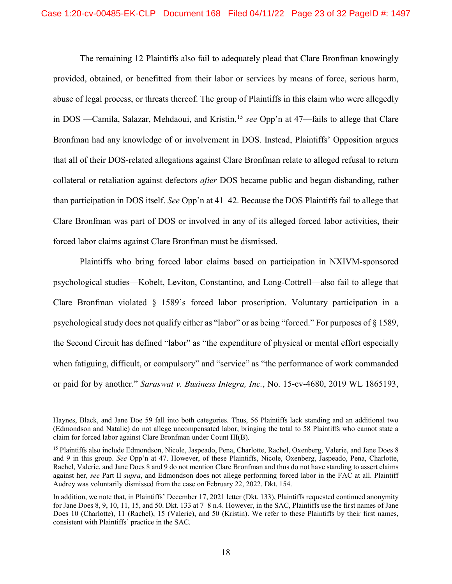The remaining 12 Plaintiffs also fail to adequately plead that Clare Bronfman knowingly provided, obtained, or benefitted from their labor or services by means of force, serious harm, abuse of legal process, or threats thereof. The group of Plaintiffs in this claim who were allegedly in DOS —Camila, Salazar, Mehdaoui, and Kristin, [15](#page-22-2) *see* Opp'n at 47—fails to allege that Clare Bronfman had any knowledge of or involvement in DOS. Instead, Plaintiffs' Opposition argues that all of their DOS-related allegations against Clare Bronfman relate to alleged refusal to return collateral or retaliation against defectors *after* DOS became public and began disbanding, rather than participation in DOS itself. *See* Opp'n at 41–42. Because the DOS Plaintiffs fail to allege that Clare Bronfman was part of DOS or involved in any of its alleged forced labor activities, their forced labor claims against Clare Bronfman must be dismissed.

<span id="page-22-1"></span>Plaintiffs who bring forced labor claims based on participation in NXIVM-sponsored psychological studies—Kobelt, Leviton, Constantino, and Long-Cottrell—also fail to allege that Clare Bronfman violated § 1589's forced labor proscription. Voluntary participation in a psychological study does not qualify either as "labor" or as being "forced." For purposes of § 1589, the Second Circuit has defined "labor" as "the expenditure of physical or mental effort especially when fatiguing, difficult, or compulsory" and "service" as "the performance of work commanded or paid for by another." *Saraswat v. Business Integra, Inc.*, No. 15-cv-4680, 2019 WL 1865193,

<span id="page-22-0"></span> $\overline{a}$ 

Haynes, Black, and Jane Doe 59 fall into both categories. Thus, 56 Plaintiffs lack standing and an additional two (Edmondson and Natalie) do not allege uncompensated labor, bringing the total to 58 Plaintiffs who cannot state a claim for forced labor against Clare Bronfman under Count III(B).

<span id="page-22-2"></span><sup>&</sup>lt;sup>15</sup> Plaintiffs also include Edmondson, Nicole, Jaspeado, Pena, Charlotte, Rachel, Oxenberg, Valerie, and Jane Does 8 and 9 in this group. *See* Opp'n at 47. However, of these Plaintiffs, Nicole, Oxenberg, Jaspeado, Pena, Charlotte, Rachel, Valerie, and Jane Does 8 and 9 do not mention Clare Bronfman and thus do not have standing to assert claims against her, *see* Part II *supra*, and Edmondson does not allege performing forced labor in the FAC at all. Plaintiff Audrey was voluntarily dismissed from the case on February 22, 2022. Dkt. 154.

In addition, we note that, in Plaintiffs' December 17, 2021 letter (Dkt. 133), Plaintiffs requested continued anonymity for Jane Does 8, 9, 10, 11, 15, and 50. Dkt. 133 at 7–8 n.4. However, in the SAC, Plaintiffs use the first names of Jane Does 10 (Charlotte), 11 (Rachel), 15 (Valerie), and 50 (Kristin). We refer to these Plaintiffs by their first names, consistent with Plaintiffs' practice in the SAC.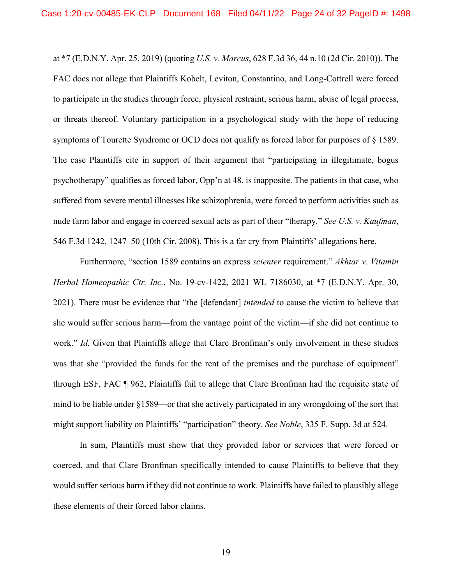<span id="page-23-3"></span>at \*7 (E.D.N.Y. Apr. 25, 2019) (quoting *U.S. v. Marcus*, 628 F.3d 36, 44 n.10 (2d Cir. 2010)). The FAC does not allege that Plaintiffs Kobelt, Leviton, Constantino, and Long-Cottrell were forced to participate in the studies through force, physical restraint, serious harm, abuse of legal process, or threats thereof. Voluntary participation in a psychological study with the hope of reducing symptoms of Tourette Syndrome or OCD does not qualify as forced labor for purposes of § 1589. The case Plaintiffs cite in support of their argument that "participating in illegitimate, bogus psychotherapy" qualifies as forced labor, Opp'n at 48, is inapposite. The patients in that case, who suffered from severe mental illnesses like schizophrenia, were forced to perform activities such as nude farm labor and engage in coerced sexual acts as part of their "therapy." *See U.S. v. Kaufman*, 546 F.3d 1242, 1247–50 (10th Cir. 2008). This is a far cry from Plaintiffs' allegations here.

<span id="page-23-4"></span><span id="page-23-2"></span><span id="page-23-0"></span>Furthermore, "section 1589 contains an express *scienter* requirement." *Akhtar v. Vitamin Herbal Homeopathic Ctr. Inc.*, No. 19-cv-1422, 2021 WL 7186030, at \*7 (E.D.N.Y. Apr. 30, 2021). There must be evidence that "the [defendant] *intended* to cause the victim to believe that she would suffer serious harm—from the vantage point of the victim—if she did not continue to work." *Id.* Given that Plaintiffs allege that Clare Bronfman's only involvement in these studies was that she "provided the funds for the rent of the premises and the purchase of equipment" through ESF, FAC ¶ 962, Plaintiffs fail to allege that Clare Bronfman had the requisite state of mind to be liable under §1589—or that she actively participated in any wrongdoing of the sort that might support liability on Plaintiffs' "participation" theory. *See Noble*, 335 F. Supp. 3d at 524.

<span id="page-23-1"></span>In sum, Plaintiffs must show that they provided labor or services that were forced or coerced, and that Clare Bronfman specifically intended to cause Plaintiffs to believe that they would suffer serious harm if they did not continue to work. Plaintiffs have failed to plausibly allege these elements of their forced labor claims.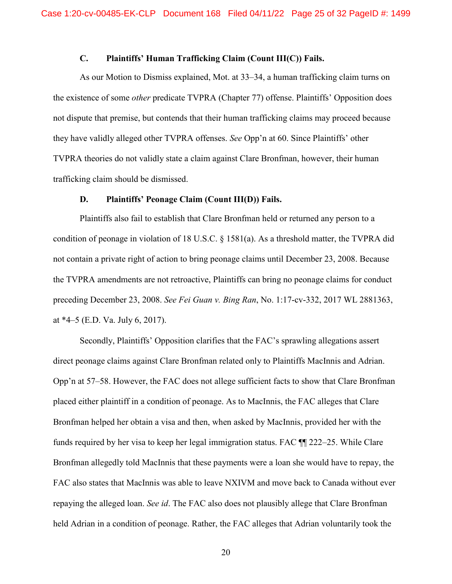## **C. Plaintiffs' Human Trafficking Claim (Count III(C)) Fails.**

As our Motion to Dismiss explained, Mot. at 33–34, a human trafficking claim turns on the existence of some *other* predicate TVPRA (Chapter 77) offense. Plaintiffs' Opposition does not dispute that premise, but contends that their human trafficking claims may proceed because they have validly alleged other TVPRA offenses. *See* Opp'n at 60. Since Plaintiffs' other TVPRA theories do not validly state a claim against Clare Bronfman, however, their human trafficking claim should be dismissed.

#### <span id="page-24-1"></span>**D. Plaintiffs' Peonage Claim (Count III(D)) Fails.**

Plaintiffs also fail to establish that Clare Bronfman held or returned any person to a condition of peonage in violation of 18 U.S.C. § 1581(a). As a threshold matter, the TVPRA did not contain a private right of action to bring peonage claims until December 23, 2008. Because the TVPRA amendments are not retroactive, Plaintiffs can bring no peonage claims for conduct preceding December 23, 2008. *See Fei Guan v. Bing Ran*, No. 1:17-cv-332, 2017 WL 2881363, at \*4–5 (E.D. Va. July 6, 2017).

<span id="page-24-0"></span>Secondly, Plaintiffs' Opposition clarifies that the FAC's sprawling allegations assert direct peonage claims against Clare Bronfman related only to Plaintiffs MacInnis and Adrian. Opp'n at 57–58. However, the FAC does not allege sufficient facts to show that Clare Bronfman placed either plaintiff in a condition of peonage. As to MacInnis, the FAC alleges that Clare Bronfman helped her obtain a visa and then, when asked by MacInnis, provided her with the funds required by her visa to keep her legal immigration status. FAC ¶¶ 222–25. While Clare Bronfman allegedly told MacInnis that these payments were a loan she would have to repay, the FAC also states that MacInnis was able to leave NXIVM and move back to Canada without ever repaying the alleged loan. *See id*. The FAC also does not plausibly allege that Clare Bronfman held Adrian in a condition of peonage. Rather, the FAC alleges that Adrian voluntarily took the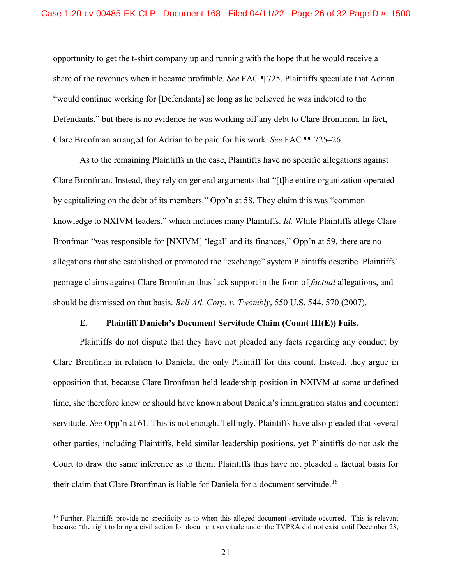opportunity to get the t-shirt company up and running with the hope that he would receive a share of the revenues when it became profitable. *See* FAC ¶ 725. Plaintiffs speculate that Adrian "would continue working for [Defendants] so long as he believed he was indebted to the Defendants," but there is no evidence he was working off any debt to Clare Bronfman. In fact, Clare Bronfman arranged for Adrian to be paid for his work. *See* FAC ¶¶ 725–26.

As to the remaining Plaintiffs in the case, Plaintiffs have no specific allegations against Clare Bronfman. Instead, they rely on general arguments that "[t]he entire organization operated by capitalizing on the debt of its members." Opp'n at 58. They claim this was "common knowledge to NXIVM leaders," which includes many Plaintiffs. *Id.* While Plaintiffs allege Clare Bronfman "was responsible for [NXIVM] 'legal' and its finances," Opp'n at 59, there are no allegations that she established or promoted the "exchange" system Plaintiffs describe. Plaintiffs' peonage claims against Clare Bronfman thus lack support in the form of *factual* allegations, and should be dismissed on that basis. *Bell Atl. Corp. v. Twombly*, 550 U.S. 544, 570 (2007).

### <span id="page-25-0"></span>**E. Plaintiff Daniela's Document Servitude Claim (Count III(E)) Fails.**

Plaintiffs do not dispute that they have not pleaded any facts regarding any conduct by Clare Bronfman in relation to Daniela, the only Plaintiff for this count. Instead, they argue in opposition that, because Clare Bronfman held leadership position in NXIVM at some undefined time, she therefore knew or should have known about Daniela's immigration status and document servitude. *See* Opp'n at 61. This is not enough. Tellingly, Plaintiffs have also pleaded that several other parties, including Plaintiffs, held similar leadership positions, yet Plaintiffs do not ask the Court to draw the same inference as to them. Plaintiffs thus have not pleaded a factual basis for their claim that Clare Bronfman is liable for Daniela for a document servitude.<sup>[16](#page-25-1)</sup>

<span id="page-25-1"></span><sup>&</sup>lt;sup>16</sup> Further, Plaintiffs provide no specificity as to when this alleged document servitude occurred. This is relevant because "the right to bring a civil action for document servitude under the TVPRA did not exist until December 23,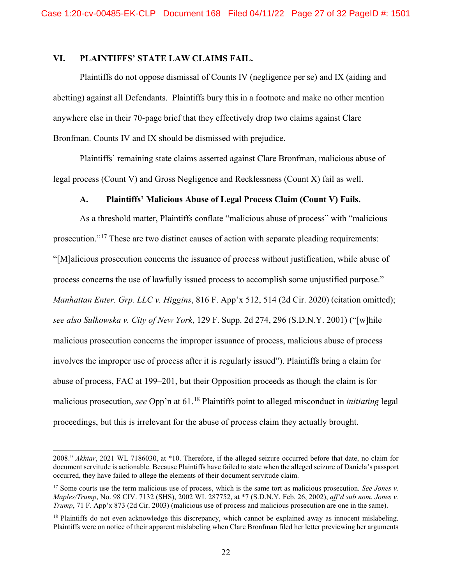## **VI. PLAINTIFFS' STATE LAW CLAIMS FAIL.**

Plaintiffs do not oppose dismissal of Counts IV (negligence per se) and IX (aiding and abetting) against all Defendants. Plaintiffs bury this in a footnote and make no other mention anywhere else in their 70-page brief that they effectively drop two claims against Clare Bronfman. Counts IV and IX should be dismissed with prejudice.

Plaintiffs' remaining state claims asserted against Clare Bronfman, malicious abuse of legal process (Count V) and Gross Negligence and Recklessness (Count X) fail as well.

### **A. Plaintiffs' Malicious Abuse of Legal Process Claim (Count V) Fails.**

<span id="page-26-4"></span><span id="page-26-3"></span>As a threshold matter, Plaintiffs conflate "malicious abuse of process" with "malicious prosecution."<sup>[17](#page-26-5)</sup> These are two distinct causes of action with separate pleading requirements: "[M]alicious prosecution concerns the issuance of process without justification, while abuse of process concerns the use of lawfully issued process to accomplish some unjustified purpose." *Manhattan Enter. Grp. LLC v. Higgins*, 816 F. App'x 512, 514 (2d Cir. 2020) (citation omitted); *see also Sulkowska v. City of New York*, 129 F. Supp. 2d 274, 296 (S.D.N.Y. 2001) ("[w]hile malicious prosecution concerns the improper issuance of process, malicious abuse of process involves the improper use of process after it is regularly issued"). Plaintiffs bring a claim for abuse of process, FAC at 199–201, but their Opposition proceeds as though the claim is for malicious prosecution, *see* Opp'n at 61.[18](#page-26-6) Plaintiffs point to alleged misconduct in *initiating* legal proceedings, but this is irrelevant for the abuse of process claim they actually brought.

 $\overline{a}$ 

<span id="page-26-0"></span><sup>2008.&</sup>quot; *Akhtar*, 2021 WL 7186030, at \*10. Therefore, if the alleged seizure occurred before that date, no claim for document servitude is actionable. Because Plaintiffs have failed to state when the alleged seizure of Daniela's passport occurred, they have failed to allege the elements of their document servitude claim.

<span id="page-26-5"></span><span id="page-26-2"></span><span id="page-26-1"></span><sup>17</sup> Some courts use the term malicious use of process, which is the same tort as malicious prosecution. *See Jones v. Maples/Trump*, No. 98 CIV. 7132 (SHS), 2002 WL 287752, at \*7 (S.D.N.Y. Feb. 26, 2002), *aff'd sub nom. Jones v. Trump*, 71 F. App'x 873 (2d Cir. 2003) (malicious use of process and malicious prosecution are one in the same).

<span id="page-26-6"></span><sup>&</sup>lt;sup>18</sup> Plaintiffs do not even acknowledge this discrepancy, which cannot be explained away as innocent mislabeling. Plaintiffs were on notice of their apparent mislabeling when Clare Bronfman filed her letter previewing her arguments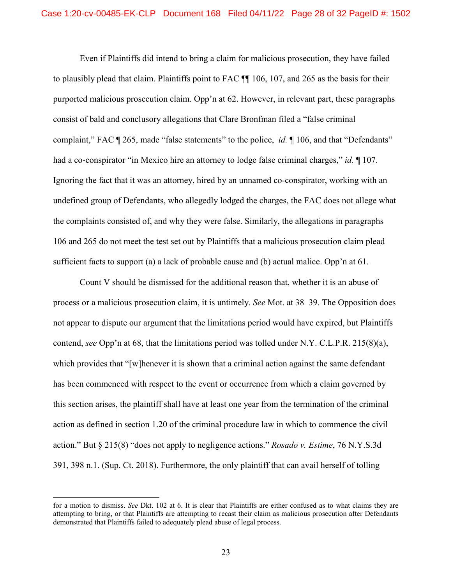Even if Plaintiffs did intend to bring a claim for malicious prosecution, they have failed to plausibly plead that claim. Plaintiffs point to FAC ¶¶ 106, 107, and 265 as the basis for their purported malicious prosecution claim. Opp'n at 62. However, in relevant part, these paragraphs consist of bald and conclusory allegations that Clare Bronfman filed a "false criminal complaint," FAC ¶ 265, made "false statements" to the police, *id.* ¶ 106, and that "Defendants" had a co-conspirator "in Mexico hire an attorney to lodge false criminal charges," *id.* ¶ 107. Ignoring the fact that it was an attorney, hired by an unnamed co-conspirator, working with an undefined group of Defendants, who allegedly lodged the charges, the FAC does not allege what the complaints consisted of, and why they were false. Similarly, the allegations in paragraphs 106 and 265 do not meet the test set out by Plaintiffs that a malicious prosecution claim plead sufficient facts to support (a) a lack of probable cause and (b) actual malice. Opp'n at 61.

Count V should be dismissed for the additional reason that, whether it is an abuse of process or a malicious prosecution claim, it is untimely. *See* Mot. at 38–39. The Opposition does not appear to dispute our argument that the limitations period would have expired, but Plaintiffs contend, *see* Opp'n at 68, that the limitations period was tolled under N.Y. C.L.P.R. 215(8)(a), which provides that "[w]henever it is shown that a criminal action against the same defendant has been commenced with respect to the event or occurrence from which a claim governed by this section arises, the plaintiff shall have at least one year from the termination of the criminal action as defined in section 1.20 of the criminal procedure law in which to commence the civil action." But § 215(8) "does not apply to negligence actions." *Rosado v. Estime*, 76 N.Y.S.3d 391, 398 n.1. (Sup. Ct. 2018). Furthermore, the only plaintiff that can avail herself of tolling

<span id="page-27-1"></span><span id="page-27-0"></span> $\overline{a}$ 

for a motion to dismiss. *See* Dkt. 102 at 6. It is clear that Plaintiffs are either confused as to what claims they are attempting to bring, or that Plaintiffs are attempting to recast their claim as malicious prosecution after Defendants demonstrated that Plaintiffs failed to adequately plead abuse of legal process.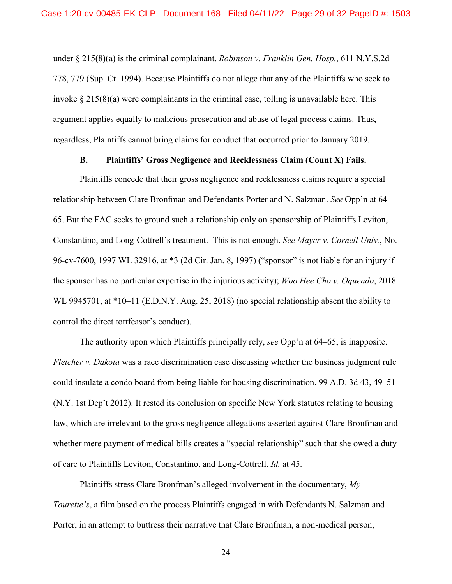<span id="page-28-1"></span>under § 215(8)(a) is the criminal complainant. *Robinson v. Franklin Gen. Hosp.*, 611 N.Y.S.2d 778, 779 (Sup. Ct. 1994). Because Plaintiffs do not allege that any of the Plaintiffs who seek to invoke  $\S 215(8)(a)$  were complainants in the criminal case, tolling is unavailable here. This argument applies equally to malicious prosecution and abuse of legal process claims. Thus, regardless, Plaintiffs cannot bring claims for conduct that occurred prior to January 2019.

#### <span id="page-28-2"></span><span id="page-28-0"></span>**B. Plaintiffs' Gross Negligence and Recklessness Claim (Count X) Fails.**

Plaintiffs concede that their gross negligence and recklessness claims require a special relationship between Clare Bronfman and Defendants Porter and N. Salzman. *See* Opp'n at 64– 65. But the FAC seeks to ground such a relationship only on sponsorship of Plaintiffs Leviton, Constantino, and Long-Cottrell's treatment. This is not enough. *See Mayer v. Cornell Univ.*, No. 96-cv-7600, 1997 WL 32916, at \*3 (2d Cir. Jan. 8, 1997) ("sponsor" is not liable for an injury if the sponsor has no particular expertise in the injurious activity); *Woo Hee Cho v. Oquendo*, 2018 WL 9945701, at \*10–11 (E.D.N.Y. Aug. 25, 2018) (no special relationship absent the ability to control the direct tortfeasor's conduct).

The authority upon which Plaintiffs principally rely, *see* Opp'n at 64–65, is inapposite. *Fletcher v. Dakota* was a race discrimination case discussing whether the business judgment rule could insulate a condo board from being liable for housing discrimination. 99 A.D. 3d 43, 49–51 (N.Y. 1st Dep't 2012). It rested its conclusion on specific New York statutes relating to housing law, which are irrelevant to the gross negligence allegations asserted against Clare Bronfman and whether mere payment of medical bills creates a "special relationship" such that she owed a duty of care to Plaintiffs Leviton, Constantino, and Long-Cottrell. *Id.* at 45.

Plaintiffs stress Clare Bronfman's alleged involvement in the documentary, *My Tourette's*, a film based on the process Plaintiffs engaged in with Defendants N. Salzman and Porter, in an attempt to buttress their narrative that Clare Bronfman, a non-medical person,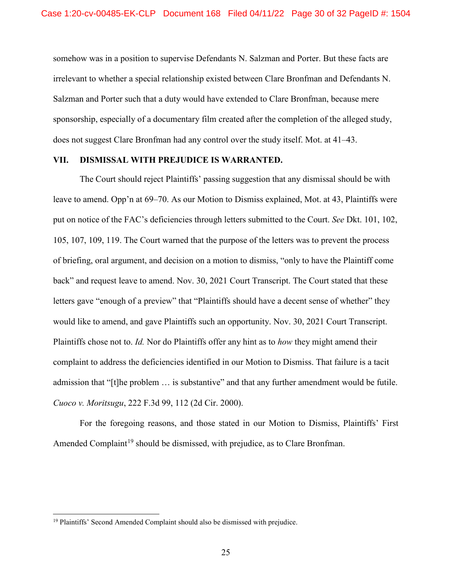somehow was in a position to supervise Defendants N. Salzman and Porter. But these facts are irrelevant to whether a special relationship existed between Clare Bronfman and Defendants N. Salzman and Porter such that a duty would have extended to Clare Bronfman, because mere sponsorship, especially of a documentary film created after the completion of the alleged study, does not suggest Clare Bronfman had any control over the study itself. Mot. at 41–43.

## **VII. DISMISSAL WITH PREJUDICE IS WARRANTED.**

The Court should reject Plaintiffs' passing suggestion that any dismissal should be with leave to amend. Opp'n at 69–70. As our Motion to Dismiss explained, Mot. at 43, Plaintiffs were put on notice of the FAC's deficiencies through letters submitted to the Court. *See* Dkt. 101, 102, 105, 107, 109, 119. The Court warned that the purpose of the letters was to prevent the process of briefing, oral argument, and decision on a motion to dismiss, "only to have the Plaintiff come back" and request leave to amend. Nov. 30, 2021 Court Transcript. The Court stated that these letters gave "enough of a preview" that "Plaintiffs should have a decent sense of whether" they would like to amend, and gave Plaintiffs such an opportunity. Nov. 30, 2021 Court Transcript. Plaintiffs chose not to. *Id.* Nor do Plaintiffs offer any hint as to *how* they might amend their complaint to address the deficiencies identified in our Motion to Dismiss. That failure is a tacit admission that "[t]he problem … is substantive" and that any further amendment would be futile. *Cuoco v. Moritsugu*, 222 F.3d 99, 112 (2d Cir. 2000).

<span id="page-29-0"></span>For the foregoing reasons, and those stated in our Motion to Dismiss, Plaintiffs' First Amended Complaint<sup>[19](#page-29-1)</sup> should be dismissed, with prejudice, as to Clare Bronfman.

<span id="page-29-1"></span><sup>&</sup>lt;sup>19</sup> Plaintiffs' Second Amended Complaint should also be dismissed with prejudice.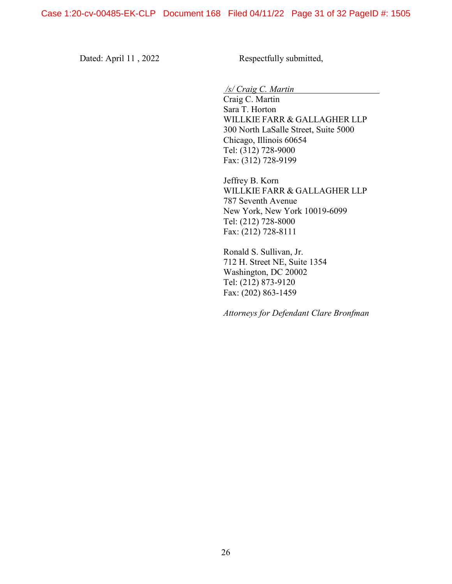Dated: April 11, 2022 Respectfully submitted,

*/s/ Craig C. Martin*

Craig C. Martin Sara T. Horton WILLKIE FARR & GALLAGHER LLP 300 North LaSalle Street, Suite 5000 Chicago, Illinois 60654 Tel: (312) 728-9000 Fax: (312) 728-9199

Jeffrey B. Korn WILLKIE FARR & GALLAGHER LLP 787 Seventh Avenue New York, New York 10019-6099 Tel: (212) 728-8000 Fax: (212) 728-8111

Ronald S. Sullivan, Jr. 712 H. Street NE, Suite 1354 Washington, DC 20002 Tel: (212) 873-9120 Fax: (202) 863-1459

*Attorneys for Defendant Clare Bronfman*